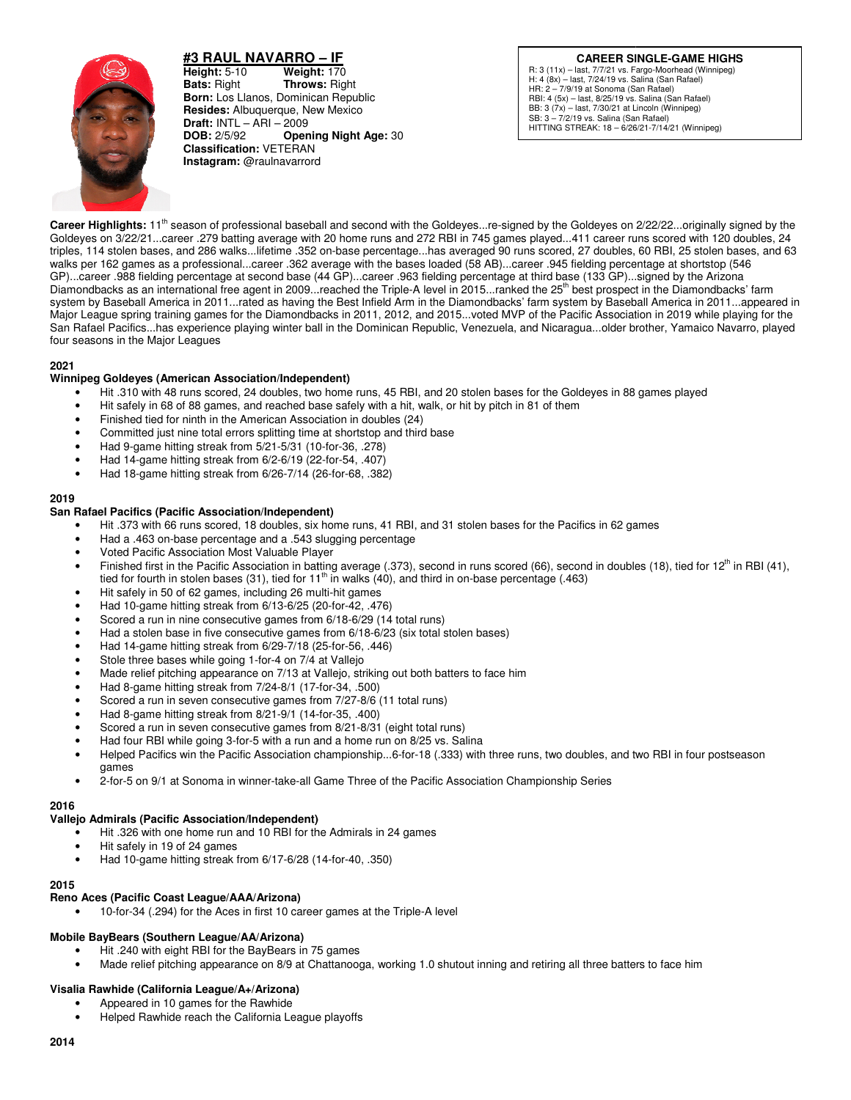

**#3 RAUL NAVARRO NAVARRO – IF Height: 5-10 Bats:** Right **Born:** Los Llanos, Dominican Republic **Resides:** Albuquerque, New Mexico **Draft:** INTL – ARI – 2009<br>**DOB:** 2/5/92 **Oper DOB:** 2/5/92 **Opening Night Age: 30 Classification:** VETERAN **Instagram:** @raulnavarrord **Weight: 170 Throws: Right** 

R: 3 (11x) - last, 7/7/21 vs. Fargo-Moorhead (Winnipeg) H: 4 (8x) – last, 7/24/19 vs. Salina (San Rafael) HR: 2 – 7/9/19 at Sonoma (San Rafael) RBI: 4 (5x) – last, 8/25/19 vs. Salina (San Rafael) BB: 3 (7x) – last, 7/30/21 at Lincoln (Winnipeg) SB: 3 – 7/2/19 vs. Salina (San Rafael) HITTING STREAK: 18 – 6/26/21 6/26/21-7/14/21 (Winnipeg) **CAREER SINGLE-GAME HIGHS** 

**Career Highlights:** 11<sup>th</sup> season of professional baseball and second with the Goldeyes...re-signed by the Goldeyes on 2/22/22...originally signed by the Goldeyes on 2/22/22...originally signed by the **Career Highlights:** 11<sup>m</sup> season of professional baseball and second with the Goldeyes...re-signed by the Goldeyes on 2/22/22...originally signed by the<br>Goldeyes on 3/22/21...career .279 batting average with 20 home runs Goldeyes on 3/22/21…career .279 batting average with 20 home runs and 272 RBI in 745 games played…411 career runs scored with 120 doubles, 24<br>triples, 114 stolen bases, and 286 walks…lifetime .352 on-base percentage…has av walks per 162 games as a professional…career .362 average with the bases loaded (58 AB)…career .945 fielding percentage at shortstop ( GP)...career .988 fielding percentage at second base (44 GP)...career .963 44 GP)...career .963 fielding percentage at third base (133 GP)...signed by the Arizona Diamondbacks as an international free agent in 2009. reached the Triple-A level in 2015. ranked the 25<sup>th</sup> best prospect in the Diamondbacks' farm GP)...career .988 fielding percentage at second base (44 GP)...career .963 fielding percentage at third base (133 GP)...signed by the Arizona<br>Diamondbacks as an international free agent in 2009...reached the Triple-A level system by Baseball America in 2011…rated as having the Best Infield Arm in the Diamondbacks' farm system by Baseball America in 2011…appeared ii<br>Major League spring training games for the Diamondbacks in 2011, 2012, and 20 Major League spring training games for the Diamondbacks in 2011, 2012, and 2015…voted MVP of the Pacific Association in 2019 while playing for the<br>San Rafael Pacifics…has experience playing winter ball in the Dominican Rep four seasons in the Major Leagues **HATO - LEAGUE CARE SINCE THE CONDUCT CARE SINCE THE COMMUNISTIES (PARTICLE AND CONDUCT THE CONDUCT CARE CONDUCTS (CARE CONDUCTS) (CARE CONDUCTS) (CARE CONDUCTS) (CARE CONDUCTS) (CARE CONDUCTS) (CARE CONDUCTS) (CARE CONDUC** runs scored, 27 doubles, 60 RBI, 25 stolen bases, and 63<br>career .945 fielding percentage at shortstop (546

## **2021**

# **Winnipeg Goldeyes (American Association/Independent Independent)**

- Hit .310 with 48 runs scored, 24 doubles, two home runs, 45 RBI, and 20 stolen bases for the Goldeyes in 88 games played
- Hit 310 with 48 runs scored, 24 doubles, two home runs, 45 RBI, and 20 stolen bases for the Goldeyes in 88 games<br>• Hit safely in 68 of 88 games, and reached base safely with a hit, walk, or hit by pitch in 81 of them<br>• F
- Finished tied for ninth in the American Association in doubles (24)
- Committed just nine total errors splitting time at shortstop and third base
- Had 9-game hitting streak from 5/21-5/31 (10
- Had 14-game hitting streak from 6/2-6/19 (22-for-54, .407)
- Had 18-game hitting streak from 6/26-7/14 (26 26-for-68, .382)

### **2019**

## **San Rafael Pacifics (Pacific Association/Independent Pacific Association/Independent)**

- Hit .373 with 66 runs scored, 18 doubles, six home runs, 41 RBI, and 31 stolen bases for the Pacifics in 62 games
- Had a .463 on-base percentage and a .543 slugging percentage
- Voted Pacific Association Most Valuable Player
- Hit .373 with 66 runs scored, 18 doubles, six home runs, 41 RBI, and 31 stolen bases for the Pacifics in 62 games<br>• Had a .463 on-base percentage and a .543 slugging percentage<br>• Finished first in the Pacific Association tied for fourth in stolen bases (31), tied for  $11<sup>th</sup>$  in walks (40), and third in on-base percentage (.463)
- Hit safely in 50 of 62 games, including 26 multi-hit games
- Had 10-game hitting streak from 6/13-6/25 (20-for-42, .476)
- Scored a run in nine consecutive games from 6/18-6/29 (14 total runs)
- Had a stolen base in five consecutive games from 6/18-6/23 (six total stolen bases)
- Had 14-game hitting streak from 6/29-7/18 (25 7/18 (25-for-56, .446)
- Stole three bases while going 1-for-4 on 7/4 at Vallejo
- Made relief pitching appearance on 7/13 at Vallejo, striking out both batters to face him 4 on 7/4 at Vallejo<br>7/13 at Vallejo, striking<br>I-8/1 (17-for-34, .500)
- Had 8-game hitting streak from 7/24-8/1 (17-
- Scored a run in seven consecutive games from 7/27-8/6 (11 total runs)
- Had 8-game hitting streak from 8/21-9/1 (14-for-35, .400)
- Scored a run in seven consecutive games from 8/21 8/21-8/31 (eight total runs)
- Had four RBI while going 3-for-5 with a run and a home run on 8/25 vs. Salina
- Helped Pacifics win the Pacific Association championship...6-for-18 (.333) with three runs, two doubles, and two RBI in four postseason games 18 (.333) with three runs, two doubles, and two RBI in four<br>acific Association Championship Series<br>mes<br>a-A level<br>1.0 shutout inning and retiring all three batters to face him
- 2-for-5 on 9/1 at Sonoma in winner-take-all Game Three of the Pacific Association Championship Series

### **2016**

### **Vallejo Admirals (Pacific Association/Independent) )**

- Hit .326 with one home run and 10 RBI for the Admirals in 24 games
- Hit safely in 19 of 24 games
- Thit .326 with one home run and 10 RBI for the Admirals in 2<br>• Hit safely in 19 of 24 games<br>• Had 10-game hitting streak from 6/17-6/28 (14-for-40, .350)

### **2015**

### **Reno Aces (Pacific Coast League/AAA/Arizona)**

• 10-for-34 (.294) for the Aces in first 10 career games at the Triple-A level

### **Mobile BayBears (Southern League/AA/Arizona)**

- Hit .240 with eight RBI for the BayBears in 75 games
- Hit .240 with eight RBI for the BayBears in 75 games<br>• Made relief pitching appearance on 8/9 at Chattanooga, working 1.0 shutout inning and retiring all three batters to

## **Visalia Rawhide (California League/A+/Arizona)**

- Appeared in 10 games for the Rawhide
- Helped Rawhide reach the California League playoffs